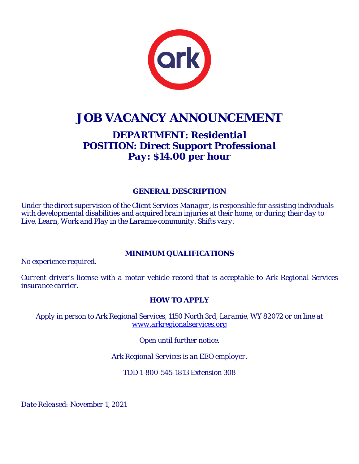

# **JOB VACANCY ANNOUNCEMENT**

## *DEPARTMENT: Residential POSITION: Direct Support Professional Pay: \$14.00 per hour*

### *GENERAL DESCRIPTION*

*Under the direct supervision of the Client Services Manager, is responsible for assisting individuals with developmental disabilities and acquired brain injuries at their home, or during their day to Live, Learn, Work and Play in the Laramie community. Shifts vary.*

### *MINIMUM QUALIFICATIONS*

*No experience required.* 

*Current driver's license with a motor vehicle record that is acceptable to Ark Regional Services insurance carrier.*

### *HOW TO APPLY*

*Apply in person to Ark Regional Services, 1150 North 3rd, Laramie, WY 82072 or on line at [www.arkregionalservices.org](http://www.arkregionalservices.org/)*

*Open until further notice.*

*Ark Regional Services is an EEO employer.*

*TDD 1-800-545-1813 Extension 308*

*Date Released: November 1, 2021*